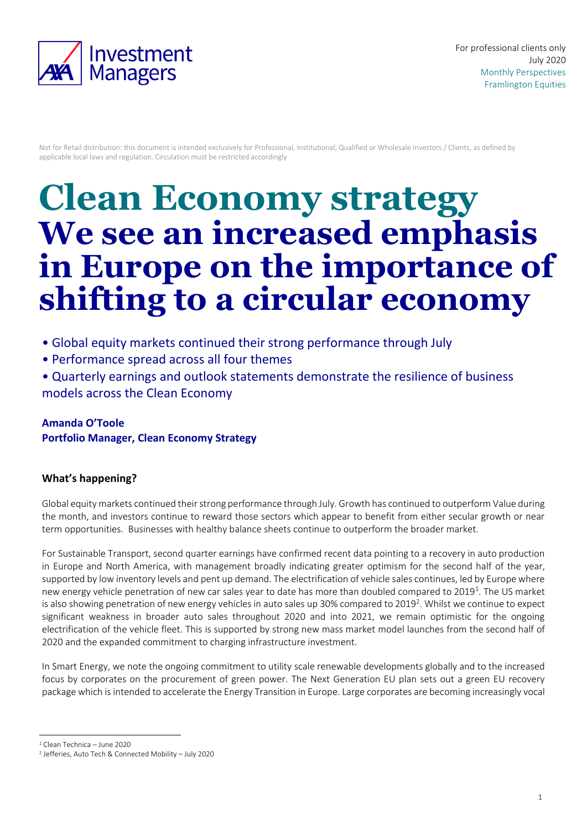

Not for Retail distribution: this document is intended exclusively for Professional, Institutional, Qualified or Wholesale Investors / Clients, as defined by applicable local laws and regulation. Circulation must be restricted accordingly

# **Clean Economy strategy We see an increased emphasis in Europe on the importance of shifting to a circular economy**

- Global equity markets continued their strong performance through July
- Performance spread across all four themes
- Quarterly earnings and outlook statements demonstrate the resilience of business models across the Clean Economy

# **Amanda O'Toole Portfolio Manager, Clean Economy Strategy**

## **What's happening?**

Global equity markets continued their strong performance through July. Growth has continued to outperform Value during the month, and investors continue to reward those sectors which appear to benefit from either secular growth or near term opportunities. Businesses with healthy balance sheets continue to outperform the broader market.

For Sustainable Transport, second quarter earnings have confirmed recent data pointing to a recovery in auto production in Europe and North America, with management broadly indicating greater optimism for the second half of the year, supported by low inventory levels and pent up demand. The electrification of vehicle sales continues, led by Europe where new energy vehicle penetration of new car sales year to date has more than doubled compared to 2019<sup>1</sup>. The US market is also showing penetration of new energy vehicles in auto sales up 30% compared to 2019<sup>2</sup>. Whilst we continue to expect significant weakness in broader auto sales throughout 2020 and into 2021, we remain optimistic for the ongoing electrification of the vehicle fleet. This is supported by strong new mass market model launches from the second half of 2020 and the expanded commitment to charging infrastructure investment.

In Smart Energy, we note the ongoing commitment to utility scale renewable developments globally and to the increased focus by corporates on the procurement of green power. The Next Generation EU plan sets out a green EU recovery package which is intended to accelerate the Energy Transition in Europe. Large corporates are becoming increasingly vocal

1 <sup>1</sup> Clean Technica – June 2020

<sup>2</sup> Jefferies, Auto Tech & Connected Mobility – July 2020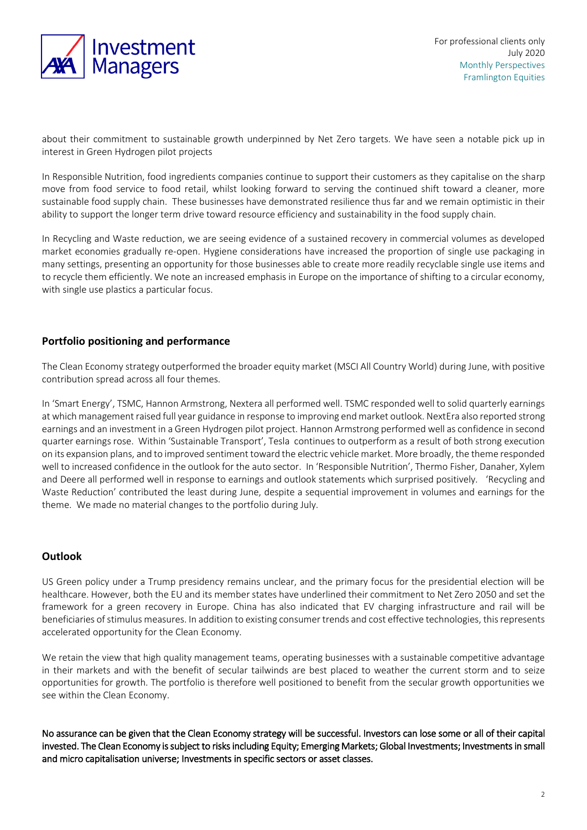

about their commitment to sustainable growth underpinned by Net Zero targets. We have seen a notable pick up in interest in Green Hydrogen pilot projects

In Responsible Nutrition, food ingredients companies continue to support their customers as they capitalise on the sharp move from food service to food retail, whilst looking forward to serving the continued shift toward a cleaner, more sustainable food supply chain. These businesses have demonstrated resilience thus far and we remain optimistic in their ability to support the longer term drive toward resource efficiency and sustainability in the food supply chain.

In Recycling and Waste reduction, we are seeing evidence of a sustained recovery in commercial volumes as developed market economies gradually re-open. Hygiene considerations have increased the proportion of single use packaging in many settings, presenting an opportunity for those businesses able to create more readily recyclable single use items and to recycle them efficiently. We note an increased emphasis in Europe on the importance of shifting to a circular economy, with single use plastics a particular focus.

### **Portfolio positioning and performance**

The Clean Economy strategy outperformed the broader equity market (MSCI All Country World) during June, with positive contribution spread across all four themes.

In 'Smart Energy', TSMC, Hannon Armstrong, Nextera all performed well. TSMC responded well to solid quarterly earnings at which management raised full year guidance in response to improving end market outlook. NextEra also reported strong earnings and an investment in a Green Hydrogen pilot project. Hannon Armstrong performed well as confidence in second quarter earnings rose. Within 'Sustainable Transport', Tesla continues to outperform as a result of both strong execution on its expansion plans, and to improved sentiment toward the electric vehicle market. More broadly, the theme responded well to increased confidence in the outlook for the auto sector. In 'Responsible Nutrition', Thermo Fisher, Danaher, Xylem and Deere all performed well in response to earnings and outlook statements which surprised positively. 'Recycling and Waste Reduction' contributed the least during June, despite a sequential improvement in volumes and earnings for the theme. We made no material changes to the portfolio during July.

### **Outlook**

US Green policy under a Trump presidency remains unclear, and the primary focus for the presidential election will be healthcare. However, both the EU and its member states have underlined their commitment to Net Zero 2050 and set the framework for a green recovery in Europe. China has also indicated that EV charging infrastructure and rail will be beneficiaries of stimulus measures. In addition to existing consumer trends and cost effective technologies, this represents accelerated opportunity for the Clean Economy.

We retain the view that high quality management teams, operating businesses with a sustainable competitive advantage in their markets and with the benefit of secular tailwinds are best placed to weather the current storm and to seize opportunities for growth. The portfolio is therefore well positioned to benefit from the secular growth opportunities we see within the Clean Economy.

No assurance can be given that the Clean Economy strategy will be successful. Investors can lose some or all of their capital invested. The Clean Economy is subject to risks including Equity; Emerging Markets; Global Investments; Investments in small and micro capitalisation universe; Investments in specific sectors or asset classes.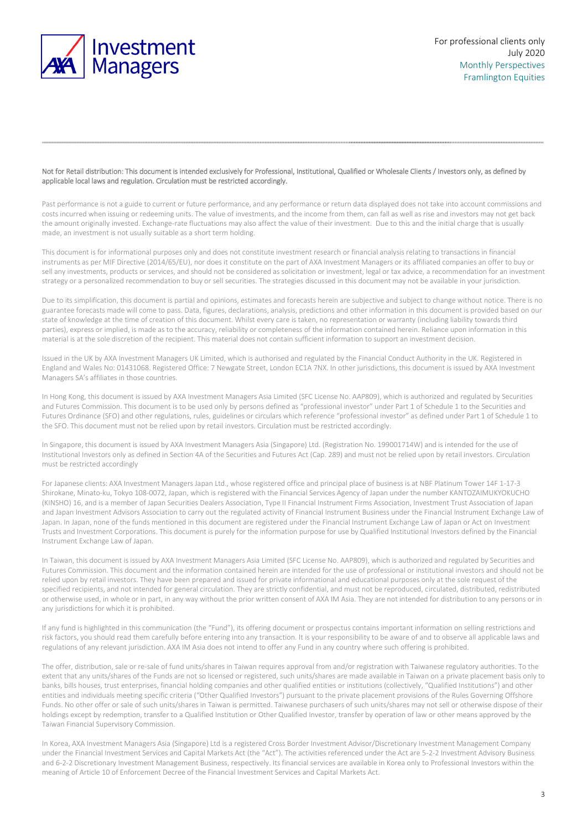

#### Not for Retail distribution: This document is intended exclusively for Professional, Institutional, Qualified or Wholesale Clients / Investors only, as defined by applicable local laws and regulation. Circulation must be restricted accordingly.

Past performance is not a guide to current or future performance, and any performance or return data displayed does not take into account commissions and costs incurred when issuing or redeeming units. The value of investments, and the income from them, can fall as well as rise and investors may not get back the amount originally invested. Exchange-rate fluctuations may also affect the value of their investment. Due to this and the initial charge that is usually made, an investment is not usually suitable as a short term holding.

This document is for informational purposes only and does not constitute investment research or financial analysis relating to transactions in financial instruments as per MIF Directive (2014/65/EU), nor does it constitute on the part of AXA Investment Managers or its affiliated companies an offer to buy or sell any investments, products or services, and should not be considered as solicitation or investment, legal or tax advice, a recommendation for an investment strategy or a personalized recommendation to buy or sell securities. The strategies discussed in this document may not be available in your jurisdiction.

Due to its simplification, this document is partial and opinions, estimates and forecasts herein are subjective and subject to change without notice. There is no guarantee forecasts made will come to pass. Data, figures, declarations, analysis, predictions and other information in this document is provided based on our state of knowledge at the time of creation of this document. Whilst every care is taken, no representation or warranty (including liability towards third parties), express or implied, is made as to the accuracy, reliability or completeness of the information contained herein. Reliance upon information in this material is at the sole discretion of the recipient. This material does not contain sufficient information to support an investment decision.

Issued in the UK by AXA Investment Managers UK Limited, which is authorised and regulated by the Financial Conduct Authority in the UK. Registered in England and Wales No: 01431068. Registered Office: 7 Newgate Street, London EC1A 7NX. In other jurisdictions, this document is issued by AXA Investment Managers SA's affiliates in those countries.

In Hong Kong, this document is issued by AXA Investment Managers Asia Limited (SFC License No. AAP809), which is authorized and regulated by Securities and Futures Commission. This document is to be used only by persons defined as "professional investor" under Part 1 of Schedule 1 to the Securities and Futures Ordinance (SFO) and other regulations, rules, guidelines or circulars which reference "professional investor" as defined under Part 1 of Schedule 1 to the SFO. This document must not be relied upon by retail investors. Circulation must be restricted accordingly.

In Singapore, this document is issued by AXA Investment Managers Asia (Singapore) Ltd. (Registration No. 199001714W) and is intended for the use of Institutional Investors only as defined in Section 4A of the Securities and Futures Act (Cap. 289) and must not be relied upon by retail investors. Circulation must be restricted accordingly

For Japanese clients: AXA Investment Managers Japan Ltd., whose registered office and principal place of business is at NBF Platinum Tower 14F 1-17-3 Shirokane, Minato-ku, Tokyo 108-0072, Japan, which is registered with the Financial Services Agency of Japan under the number KANTOZAIMUKYOKUCHO (KINSHO) 16, and is a member of Japan Securities Dealers Association, Type II Financial Instrument Firms Association, Investment Trust Association of Japan and Japan Investment Advisors Association to carry out the regulated activity of Financial Instrument Business under the Financial Instrument Exchange Law of Japan. In Japan, none of the funds mentioned in this document are registered under the Financial Instrument Exchange Law of Japan or Act on Investment Trusts and Investment Corporations. This document is purely for the information purpose for use by Qualified Institutional Investors defined by the Financial Instrument Exchange Law of Japan.

In Taiwan, this document is issued by AXA Investment Managers Asia Limited (SFC License No. AAP809), which is authorized and regulated by Securities and Futures Commission. This document and the information contained herein are intended for the use of professional or institutional investors and should not be relied upon by retail investors. They have been prepared and issued for private informational and educational purposes only at the sole request of the specified recipients, and not intended for general circulation. They are strictly confidential, and must not be reproduced, circulated, distributed, redistributed or otherwise used, in whole or in part, in any way without the prior written consent of AXA IM Asia. They are not intended for distribution to any persons or in any jurisdictions for which it is prohibited.

If any fund is highlighted in this communication (the "Fund"), its offering document or prospectus contains important information on selling restrictions and risk factors, you should read them carefully before entering into any transaction. It is your responsibility to be aware of and to observe all applicable laws and regulations of any relevant jurisdiction. AXA IM Asia does not intend to offer any Fund in any country where such offering is prohibited.

The offer, distribution, sale or re-sale of fund units/shares in Taiwan requires approval from and/or registration with Taiwanese regulatory authorities. To the extent that any units/shares of the Funds are not so licensed or registered, such units/shares are made available in Taiwan on a private placement basis only to banks, bills houses, trust enterprises, financial holding companies and other qualified entities or institutions (collectively, "Qualified Institutions") and other entities and individuals meeting specific criteria ("Other Qualified Investors") pursuant to the private placement provisions of the Rules Governing Offshore Funds. No other offer or sale of such units/shares in Taiwan is permitted. Taiwanese purchasers of such units/shares may not sell or otherwise dispose of their holdings except by redemption, transfer to a Qualified Institution or Other Qualified Investor, transfer by operation of law or other means approved by the Taiwan Financial Supervisory Commission.

In Korea, AXA Investment Managers Asia (Singapore) Ltd is a registered Cross Border Investment Advisor/Discretionary Investment Management Company under the Financial Investment Services and Capital Markets Act (the "Act"). The activities referenced under the Act are 5-2-2 Investment Advisory Business and 6-2-2 Discretionary Investment Management Business, respectively. Its financial services are available in Korea only to Professional Investors within the meaning of Article 10 of Enforcement Decree of the Financial Investment Services and Capital Markets Act.